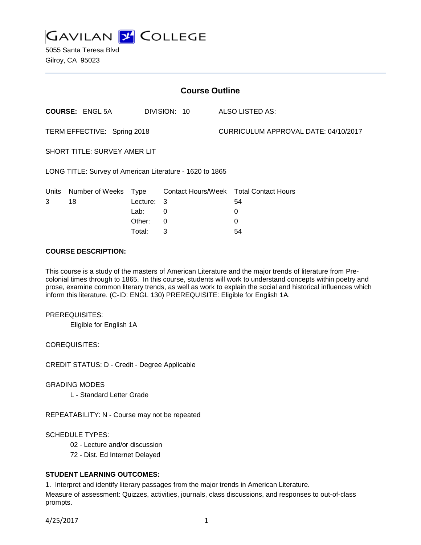

5055 Santa Teresa Blvd Gilroy, CA 95023

| <b>Course Outline</b>                                    |                        |          |              |                                      |                                        |
|----------------------------------------------------------|------------------------|----------|--------------|--------------------------------------|----------------------------------------|
|                                                          | <b>COURSE: ENGL 5A</b> |          | DIVISION: 10 |                                      | ALSO LISTED AS:                        |
| TERM EFFECTIVE: Spring 2018                              |                        |          |              | CURRICULUM APPROVAL DATE: 04/10/2017 |                                        |
| <b>SHORT TITLE: SURVEY AMER LIT</b>                      |                        |          |              |                                      |                                        |
| LONG TITLE: Survey of American Literature - 1620 to 1865 |                        |          |              |                                      |                                        |
| Units                                                    | Number of Weeks Type   |          |              |                                      | Contact Hours/Week Total Contact Hours |
| 3                                                        | 18                     | Lecture: | 3            |                                      | 54                                     |
|                                                          |                        | Lab:     | $\Omega$     |                                      | 0                                      |
|                                                          |                        | Other:   | 0            |                                      | 0                                      |
|                                                          |                        | Total:   | 3            |                                      | 54                                     |

### **COURSE DESCRIPTION:**

This course is a study of the masters of American Literature and the major trends of literature from Precolonial times through to 1865. In this course, students will work to understand concepts within poetry and prose, examine common literary trends, as well as work to explain the social and historical influences which inform this literature. (C-ID: ENGL 130) PREREQUISITE: Eligible for English 1A.

#### PREREQUISITES:

Eligible for English 1A

COREQUISITES:

CREDIT STATUS: D - Credit - Degree Applicable

GRADING MODES

L - Standard Letter Grade

REPEATABILITY: N - Course may not be repeated

SCHEDULE TYPES:

- 02 Lecture and/or discussion
- 72 Dist. Ed Internet Delayed

# **STUDENT LEARNING OUTCOMES:**

1. Interpret and identify literary passages from the major trends in American Literature. Measure of assessment: Quizzes, activities, journals, class discussions, and responses to out-of-class

4/25/2017 1

prompts.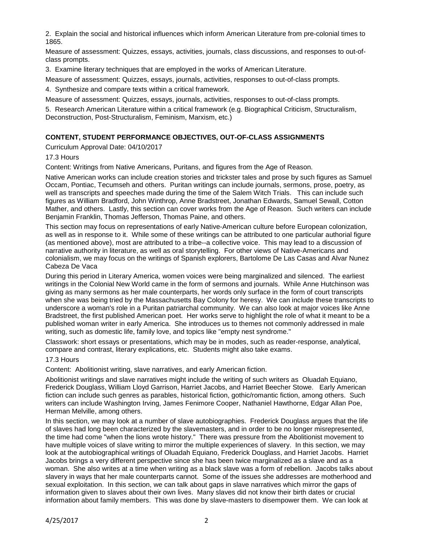2. Explain the social and historical influences which inform American Literature from pre-colonial times to 1865.

Measure of assessment: Quizzes, essays, activities, journals, class discussions, and responses to out-ofclass prompts.

3. Examine literary techniques that are employed in the works of American Literature.

Measure of assessment: Quizzes, essays, journals, activities, responses to out-of-class prompts.

4. Synthesize and compare texts within a critical framework.

Measure of assessment: Quizzes, essays, journals, activities, responses to out-of-class prompts.

5. Research American Literature within a critical framework (e.g. Biographical Criticism, Structuralism, Deconstruction, Post-Structuralism, Feminism, Marxism, etc.)

# **CONTENT, STUDENT PERFORMANCE OBJECTIVES, OUT-OF-CLASS ASSIGNMENTS**

Curriculum Approval Date: 04/10/2017

17.3 Hours

Content: Writings from Native Americans, Puritans, and figures from the Age of Reason.

Native American works can include creation stories and trickster tales and prose by such figures as Samuel Occam, Pontiac, Tecumseh and others. Puritan writings can include journals, sermons, prose, poetry, as well as transcripts and speeches made during the time of the Salem Witch Trials. This can include such figures as William Bradford, John Winthrop, Anne Bradstreet, Jonathan Edwards, Samuel Sewall, Cotton Mather, and others. Lastly, this section can cover works from the Age of Reason. Such writers can include Benjamin Franklin, Thomas Jefferson, Thomas Paine, and others.

This section may focus on representations of early Native-American culture before European colonization, as well as in response to it. While some of these writings can be attributed to one particular authorial figure (as mentioned above), most are attributed to a tribe--a collective voice. This may lead to a discussion of narrative authority in literature, as well as oral storytelling. For other views of Native-Americans and colonialism, we may focus on the writings of Spanish explorers, Bartolome De Las Casas and Alvar Nunez Cabeza De Vaca

During this period in Literary America, women voices were being marginalized and silenced. The earliest writings in the Colonial New World came in the form of sermons and journals. While Anne Hutchinson was giving as many sermons as her male counterparts, her words only surface in the form of court transcripts when she was being tried by the Massachusetts Bay Colony for heresy. We can include these transcripts to underscore a woman's role in a Puritan patriarchal community. We can also look at major voices like Anne Bradstreet, the first published American poet. Her works serve to highlight the role of what it meant to be a published woman writer in early America. She introduces us to themes not commonly addressed in male writing, such as domestic life, family love, and topics like "empty nest syndrome."

Classwork: short essays or presentations, which may be in modes, such as reader-response, analytical, compare and contrast, literary explications, etc. Students might also take exams.

# 17.3 Hours

Content: Abolitionist writing, slave narratives, and early American fiction.

Abolitionist writings and slave narratives might include the writing of such writers as Oluadah Equiano, Frederick Douglass, William Lloyd Garrison, Harriet Jacobs, and Harriet Beecher Stowe. Early American fiction can include such genres as parables, historical fiction, gothic/romantic fiction, among others. Such writers can include Washington Irving, James Fenimore Cooper, Nathaniel Hawthorne, Edgar Allan Poe, Herman Melville, among others.

In this section, we may look at a number of slave autobiographies. Frederick Douglass argues that the life of slaves had long been characterized by the slavemasters, and in order to be no longer misrepresented, the time had come "when the lions wrote history." There was pressure from the Abolitionist movement to have multiple voices of slave writing to mirror the multiple experiences of slavery. In this section, we may look at the autobiographical writings of Oluadah Equiano, Frederick Douglass, and Harriet Jacobs. Harriet Jacobs brings a very different perspective since she has been twice marginalized as a slave and as a woman. She also writes at a time when writing as a black slave was a form of rebellion. Jacobs talks about slavery in ways that her male counterparts cannot. Some of the issues she addresses are motherhood and sexual exploitation. In this section, we can talk about gaps in slave narratives which mirror the gaps of information given to slaves about their own lives. Many slaves did not know their birth dates or crucial information about family members. This was done by slave-masters to disempower them. We can look at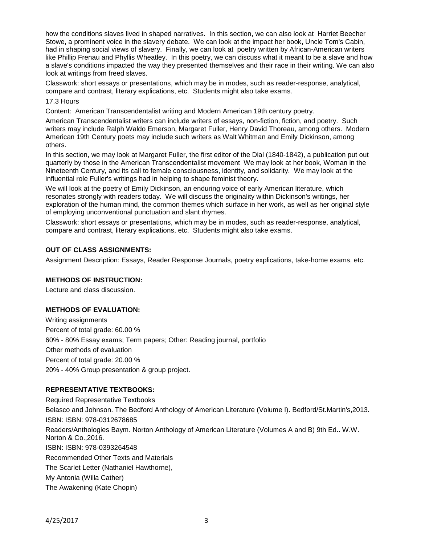how the conditions slaves lived in shaped narratives. In this section, we can also look at Harriet Beecher Stowe, a prominent voice in the slavery debate. We can look at the impact her book, Uncle Tom's Cabin, had in shaping social views of slavery. Finally, we can look at poetry written by African-American writers like Phillip Frenau and Phyllis Wheatley. In this poetry, we can discuss what it meant to be a slave and how a slave's conditions impacted the way they presented themselves and their race in their writing. We can also look at writings from freed slaves.

Classwork: short essays or presentations, which may be in modes, such as reader-response, analytical, compare and contrast, literary explications, etc. Students might also take exams.

### 17.3 Hours

Content: American Transcendentalist writing and Modern American 19th century poetry.

American Transcendentalist writers can include writers of essays, non-fiction, fiction, and poetry. Such writers may include Ralph Waldo Emerson, Margaret Fuller, Henry David Thoreau, among others. Modern American 19th Century poets may include such writers as Walt Whitman and Emily Dickinson, among others.

In this section, we may look at Margaret Fuller, the first editor of the Dial (1840-1842), a publication put out quarterly by those in the American Transcendentalist movement We may look at her book, Woman in the Nineteenth Century, and its call to female consciousness, identity, and solidarity. We may look at the influential role Fuller's writings had in helping to shape feminist theory.

We will look at the poetry of Emily Dickinson, an enduring voice of early American literature, which resonates strongly with readers today. We will discuss the originality within Dickinson's writings, her exploration of the human mind, the common themes which surface in her work, as well as her original style of employing unconventional punctuation and slant rhymes.

Classwork: short essays or presentations, which may be in modes, such as reader-response, analytical, compare and contrast, literary explications, etc. Students might also take exams.

### **OUT OF CLASS ASSIGNMENTS:**

Assignment Description: Essays, Reader Response Journals, poetry explications, take-home exams, etc.

#### **METHODS OF INSTRUCTION:**

Lecture and class discussion.

#### **METHODS OF EVALUATION:**

Writing assignments Percent of total grade: 60.00 % 60% - 80% Essay exams; Term papers; Other: Reading journal, portfolio Other methods of evaluation Percent of total grade: 20.00 % 20% - 40% Group presentation & group project.

# **REPRESENTATIVE TEXTBOOKS:**

Required Representative Textbooks Belasco and Johnson. The Bedford Anthology of American Literature (Volume I). Bedford/St.Martin's,2013. ISBN: ISBN: 978-0312678685 Readers/Anthologies Baym. Norton Anthology of American Literature (Volumes A and B) 9th Ed.. W.W. Norton & Co.,2016. ISBN: ISBN: 978-0393264548 Recommended Other Texts and Materials The Scarlet Letter (Nathaniel Hawthorne), My Antonia (Willa Cather) The Awakening (Kate Chopin)